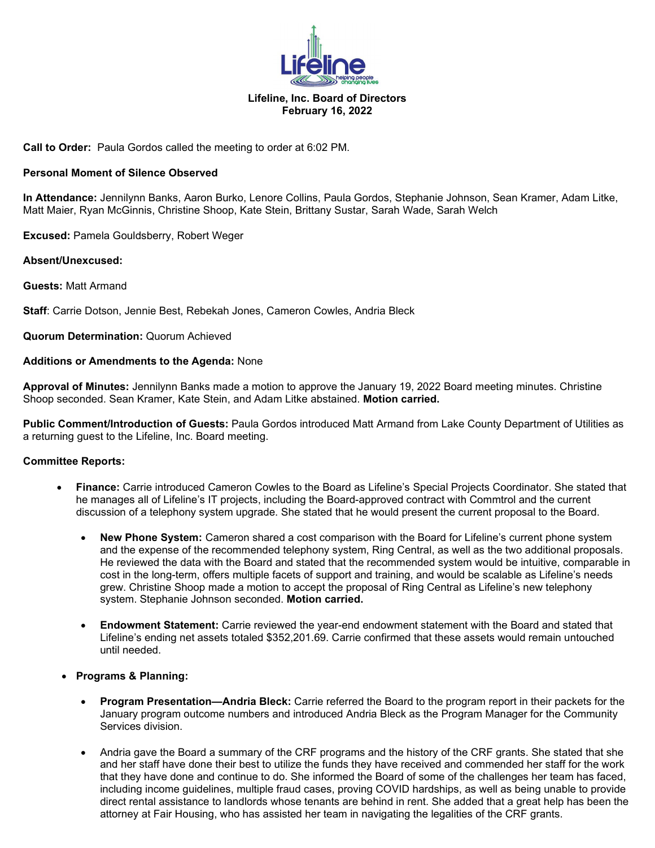

# **Lifeline, Inc. Board of Directors February 16, 2022**

**Call to Order:** Paula Gordos called the meeting to order at 6:02 PM.

### **Personal Moment of Silence Observed**

**In Attendance:** Jennilynn Banks, Aaron Burko, Lenore Collins, Paula Gordos, Stephanie Johnson, Sean Kramer, Adam Litke, Matt Maier, Ryan McGinnis, Christine Shoop, Kate Stein, Brittany Sustar, Sarah Wade, Sarah Welch

**Excused:** Pamela Gouldsberry, Robert Weger

#### **Absent/Unexcused:**

**Guests:** Matt Armand

**Staff**: Carrie Dotson, Jennie Best, Rebekah Jones, Cameron Cowles, Andria Bleck

**Quorum Determination:** Quorum Achieved

#### **Additions or Amendments to the Agenda:** None

**Approval of Minutes:** Jennilynn Banks made a motion to approve the January 19, 2022 Board meeting minutes. Christine Shoop seconded. Sean Kramer, Kate Stein, and Adam Litke abstained. **Motion carried.**

**Public Comment/Introduction of Guests:** Paula Gordos introduced Matt Armand from Lake County Department of Utilities as a returning guest to the Lifeline, Inc. Board meeting.

# **Committee Reports:**

- **Finance:** Carrie introduced Cameron Cowles to the Board as Lifeline's Special Projects Coordinator. She stated that he manages all of Lifeline's IT projects, including the Board-approved contract with Commtrol and the current discussion of a telephony system upgrade. She stated that he would present the current proposal to the Board.
	- **New Phone System:** Cameron shared a cost comparison with the Board for Lifeline's current phone system and the expense of the recommended telephony system, Ring Central, as well as the two additional proposals. He reviewed the data with the Board and stated that the recommended system would be intuitive, comparable in cost in the long-term, offers multiple facets of support and training, and would be scalable as Lifeline's needs grew. Christine Shoop made a motion to accept the proposal of Ring Central as Lifeline's new telephony system. Stephanie Johnson seconded. **Motion carried.**
	- **Endowment Statement:** Carrie reviewed the year-end endowment statement with the Board and stated that Lifeline's ending net assets totaled \$352,201.69. Carrie confirmed that these assets would remain untouched until needed.
- **Programs & Planning:** 
	- **Program Presentation—Andria Bleck:** Carrie referred the Board to the program report in their packets for the January program outcome numbers and introduced Andria Bleck as the Program Manager for the Community Services division.
	- Andria gave the Board a summary of the CRF programs and the history of the CRF grants. She stated that she and her staff have done their best to utilize the funds they have received and commended her staff for the work that they have done and continue to do. She informed the Board of some of the challenges her team has faced, including income guidelines, multiple fraud cases, proving COVID hardships, as well as being unable to provide direct rental assistance to landlords whose tenants are behind in rent. She added that a great help has been the attorney at Fair Housing, who has assisted her team in navigating the legalities of the CRF grants.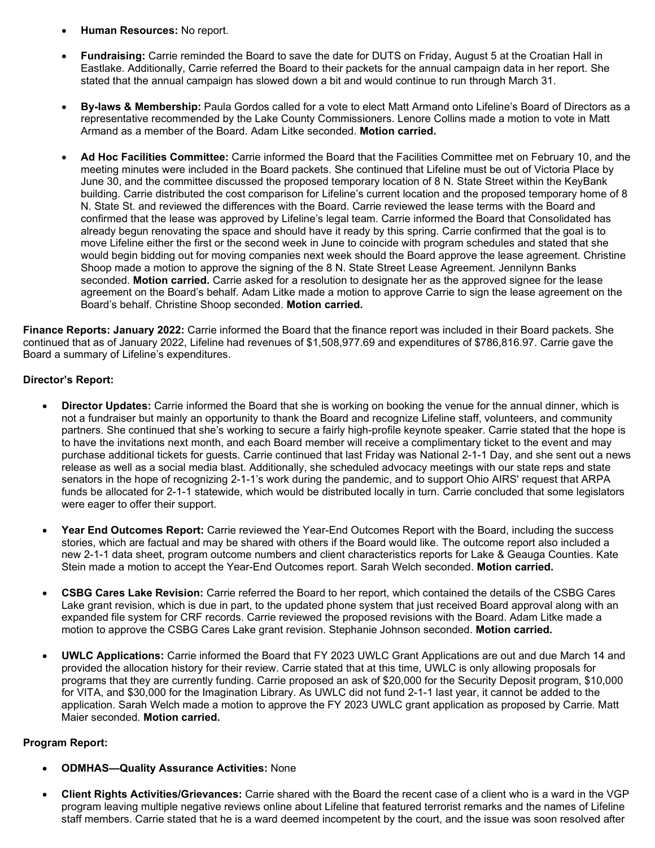- **Human Resources:** No report.
- **Fundraising:** Carrie reminded the Board to save the date for DUTS on Friday, August 5 at the Croatian Hall in Eastlake. Additionally, Carrie referred the Board to their packets for the annual campaign data in her report. She stated that the annual campaign has slowed down a bit and would continue to run through March 31.
- **By-laws & Membership:** Paula Gordos called for a vote to elect Matt Armand onto Lifeline's Board of Directors as a representative recommended by the Lake County Commissioners. Lenore Collins made a motion to vote in Matt Armand as a member of the Board. Adam Litke seconded. **Motion carried.**
- **Ad Hoc Facilities Committee:** Carrie informed the Board that the Facilities Committee met on February 10, and the meeting minutes were included in the Board packets. She continued that Lifeline must be out of Victoria Place by June 30, and the committee discussed the proposed temporary location of 8 N. State Street within the KeyBank building. Carrie distributed the cost comparison for Lifeline's current location and the proposed temporary home of 8 N. State St. and reviewed the differences with the Board. Carrie reviewed the lease terms with the Board and confirmed that the lease was approved by Lifeline's legal team. Carrie informed the Board that Consolidated has already begun renovating the space and should have it ready by this spring. Carrie confirmed that the goal is to move Lifeline either the first or the second week in June to coincide with program schedules and stated that she would begin bidding out for moving companies next week should the Board approve the lease agreement. Christine Shoop made a motion to approve the signing of the 8 N. State Street Lease Agreement. Jennilynn Banks seconded. **Motion carried.** Carrie asked for a resolution to designate her as the approved signee for the lease agreement on the Board's behalf. Adam Litke made a motion to approve Carrie to sign the lease agreement on the Board's behalf. Christine Shoop seconded. **Motion carried.**

**Finance Reports: January 2022:** Carrie informed the Board that the finance report was included in their Board packets. She continued that as of January 2022, Lifeline had revenues of \$1,508,977.69 and expenditures of \$786,816.97. Carrie gave the Board a summary of Lifeline's expenditures.

# **Director's Report:**

- **Director Updates:** Carrie informed the Board that she is working on booking the venue for the annual dinner, which is not a fundraiser but mainly an opportunity to thank the Board and recognize Lifeline staff, volunteers, and community partners. She continued that she's working to secure a fairly high-profile keynote speaker. Carrie stated that the hope is to have the invitations next month, and each Board member will receive a complimentary ticket to the event and may purchase additional tickets for guests. Carrie continued that last Friday was National 2-1-1 Day, and she sent out a news release as well as a social media blast. Additionally, she scheduled advocacy meetings with our state reps and state senators in the hope of recognizing 2-1-1's work during the pandemic, and to support Ohio AIRS' request that ARPA funds be allocated for 2-1-1 statewide, which would be distributed locally in turn. Carrie concluded that some legislators were eager to offer their support.
- **Year End Outcomes Report:** Carrie reviewed the Year-End Outcomes Report with the Board, including the success stories, which are factual and may be shared with others if the Board would like. The outcome report also included a new 2-1-1 data sheet, program outcome numbers and client characteristics reports for Lake & Geauga Counties. Kate Stein made a motion to accept the Year-End Outcomes report. Sarah Welch seconded. **Motion carried.**
- **CSBG Cares Lake Revision:** Carrie referred the Board to her report, which contained the details of the CSBG Cares Lake grant revision, which is due in part, to the updated phone system that just received Board approval along with an expanded file system for CRF records. Carrie reviewed the proposed revisions with the Board. Adam Litke made a motion to approve the CSBG Cares Lake grant revision. Stephanie Johnson seconded. **Motion carried.**
- **UWLC Applications:** Carrie informed the Board that FY 2023 UWLC Grant Applications are out and due March 14 and provided the allocation history for their review. Carrie stated that at this time, UWLC is only allowing proposals for programs that they are currently funding. Carrie proposed an ask of \$20,000 for the Security Deposit program, \$10,000 for VITA, and \$30,000 for the Imagination Library. As UWLC did not fund 2-1-1 last year, it cannot be added to the application. Sarah Welch made a motion to approve the FY 2023 UWLC grant application as proposed by Carrie. Matt Maier seconded. **Motion carried.**

# **Program Report:**

- **ODMHAS—Quality Assurance Activities:** None
- **Client Rights Activities/Grievances:** Carrie shared with the Board the recent case of a client who is a ward in the VGP program leaving multiple negative reviews online about Lifeline that featured terrorist remarks and the names of Lifeline staff members. Carrie stated that he is a ward deemed incompetent by the court, and the issue was soon resolved after